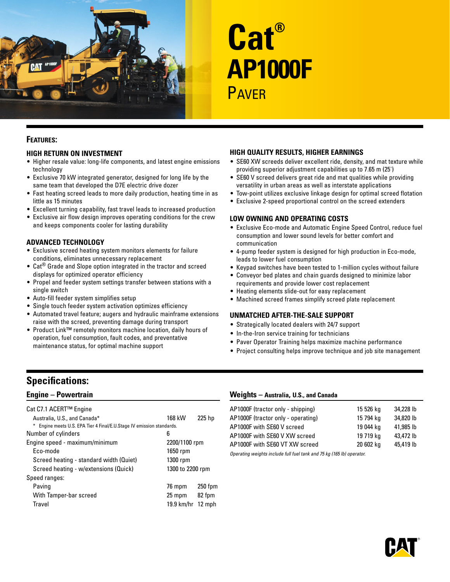

# **Cat® AP1000F PAVER**

## **Features:**

## **High Return on Investment**

- Higher resale value: long-life components, and latest engine emissions technology
- Exclusive 70 kW integrated generator, designed for long life by the same team that developed the D7E electric drive dozer
- Fast heating screed leads to more daily production, heating time in as little as 15 minutes
- Excellent turning capability, fast travel leads to increased production
- Exclusive air flow design improves operating conditions for the crew and keeps components cooler for lasting durability

## **Advanced Technology**

- Exclusive screed heating system monitors elements for failure conditions, eliminates unnecessary replacement
- Cat® Grade and Slope option integrated in the tractor and screed displays for optimized operator efficiency
- Propel and feeder system settings transfer between stations with a single switch
- Auto-fill feeder system simplifies setup
- Single touch feeder system activation optimizes efficiency
- Automated travel feature; augers and hydraulic mainframe extensions raise with the screed, preventing damage during transport
- Product Link™ remotely monitors machine location, daily hours of operation, fuel consumption, fault codes, and preventative maintenance status, for optimal machine support

## **High Quality Results, Higher Earnings**

- SE60 XW screeds deliver excellent ride, density, and mat texture while providing superior adjustment capabilities up to 7.65 m (25')
- SE60 V screed delivers great ride and mat qualities while providing versatility in urban areas as well as interstate applications
- Tow-point utilizes exclusive linkage design for optimal screed flotation
- Exclusive 2-speed proportional control on the screed extenders

## **Low Owning and Operating Costs**

- Exclusive Eco-mode and Automatic Engine Speed Control, reduce fuel consumption and lower sound levels for better comfort and communication
- 4-pump feeder system is designed for high production in Eco-mode, leads to lower fuel consumption
- Keypad switches have been tested to 1-million cycles without failure
- Conveyor bed plates and chain guards designed to minimize labor requirements and provide lower cost replacement
- Heating elements slide-out for easy replacement
- Machined screed frames simplify screed plate replacement

## **Unmatched After-the-Sale Support**

- Strategically located dealers with 24/7 support
- In-the-Iron service training for technicians
- Paver Operator Training helps maximize machine performance
- Project consulting helps improve technique and job site management

# **Specifications:**

# **Engine – Powertrain**

| Cat C7.1 ACERT™ Engine                                                |                     |           |  |
|-----------------------------------------------------------------------|---------------------|-----------|--|
| Australia, U.S., and Canada*                                          | 168 kW              | 225 hp    |  |
| * Engine meets U.S. EPA Tier 4 Final/E.U.Stage IV emission standards. |                     |           |  |
| Number of cylinders                                                   | 6                   |           |  |
| Engine speed - maximum/minimum                                        | 2200/1100 rpm       |           |  |
| Fco-mode                                                              | 1650 rpm            |           |  |
| Screed heating - standard width (Quiet)                               | 1300 rpm            |           |  |
| Screed heating - w/extensions (Quick)                                 | 1300 to 2200 rpm    |           |  |
| Speed ranges:                                                         |                     |           |  |
| Paving                                                                | 76 mpm              | $250$ fpm |  |
| With Tamper-bar screed                                                | 25 mpm              | 82 fpm    |  |
| Travel                                                                | 19.9 $km/hr$ 12 mph |           |  |

## **Weights – Australia, U.S., and Canada**

| AP1000F (tractor only - shipping)  | 15 526 kg | 34,228 lb |
|------------------------------------|-----------|-----------|
| AP1000F (tractor only - operating) | 15 794 ka | 34,820 lb |
| AP1000F with SE60 V screed         | 19 044 ka | 41.985 lb |
| AP1000F with SE60 V XW screed      | 19 719 ka | 43,472 lb |
| AP1000F with SE60 VT XW screed     | 20 602 kg | 45,419 lb |

*Operating weights include full fuel tank and 75 kg (165 lb) operator.*